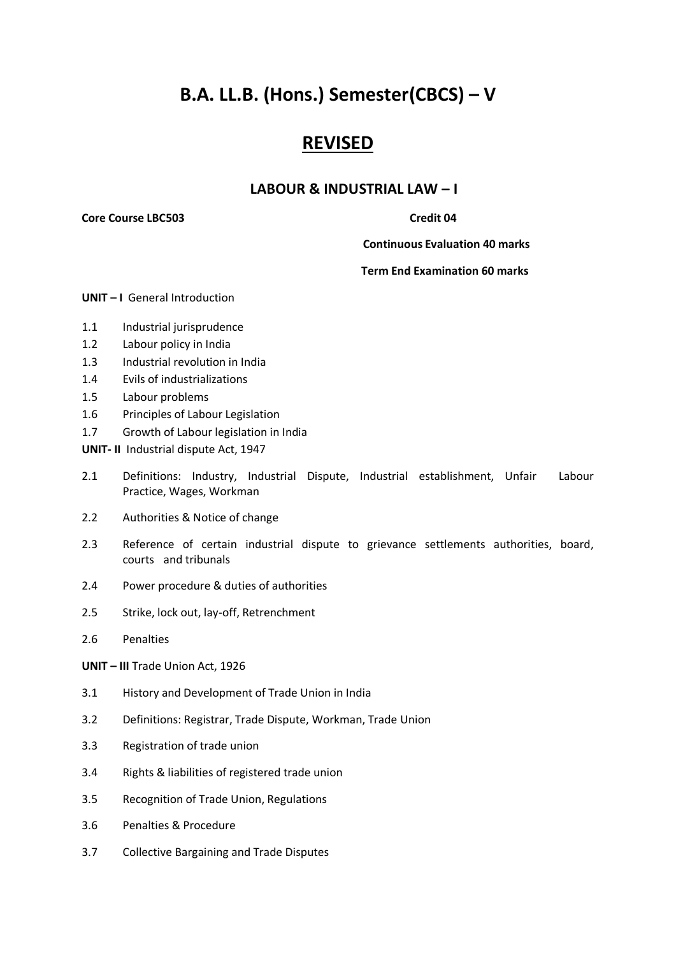# **B.A. LL.B. (Hons.) Semester(CBCS) – V**

## **REVISED**

### **LABOUR & INDUSTRIAL LAW – I**

**Core Course LBC503** Credit 04

 **Continuous Evaluation 40 marks**

#### **Term End Examination 60 marks**

**UNIT – I** General Introduction

- 1.1 Industrial jurisprudence
- 1.2 Labour policy in India
- 1.3 Industrial revolution in India
- 1.4 Evils of industrializations
- 1.5 Labour problems
- 1.6 Principles of Labour Legislation
- 1.7 Growth of Labour legislation in India
- **UNIT- II** Industrial dispute Act, 1947
- 2.1 Definitions: Industry, Industrial Dispute, Industrial establishment, Unfair Labour Practice, Wages, Workman
- 2.2 Authorities & Notice of change
- 2.3 Reference of certain industrial dispute to grievance settlements authorities, board, courts and tribunals
- 2.4 Power procedure & duties of authorities
- 2.5 Strike, lock out, lay-off, Retrenchment
- 2.6 Penalties
- **UNIT – III** Trade Union Act, 1926
- 3.1 History and Development of Trade Union in India
- 3.2 Definitions: Registrar, Trade Dispute, Workman, Trade Union
- 3.3 Registration of trade union
- 3.4 Rights & liabilities of registered trade union
- 3.5 Recognition of Trade Union, Regulations
- 3.6 Penalties & Procedure
- 3.7 Collective Bargaining and Trade Disputes